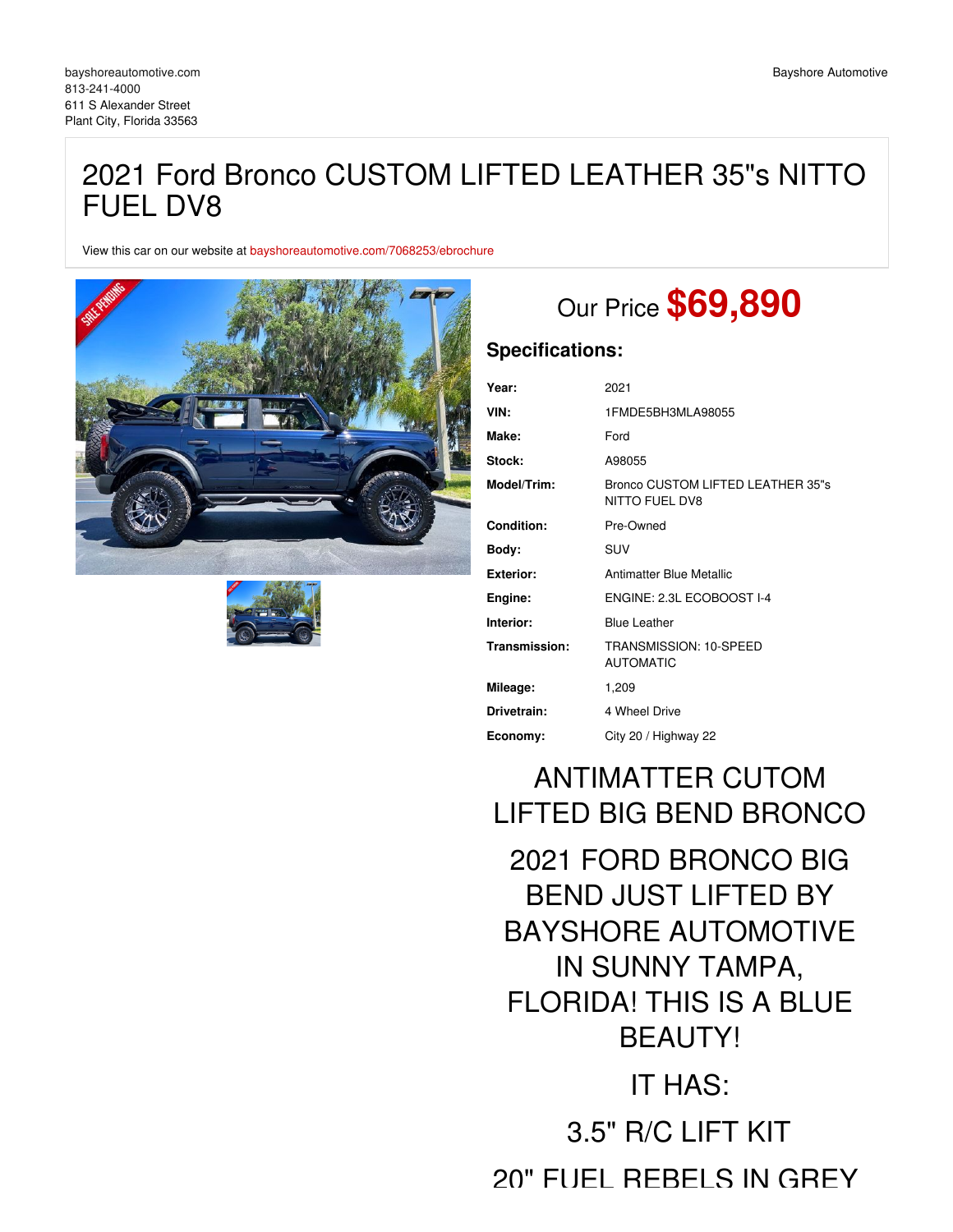## 2021 Ford Bronco CUSTOM LIFTED LEATHER 35"s NITTO FUEL DV8

View this car on our website at [bayshoreautomotive.com/7068253/ebrochure](https://bayshoreautomotive.com/vehicle/7068253/2021-ford-bronco-custom-lifted-leather-35-s-nitto-fuel-dv8-plant-city-florida-33563/7068253/ebrochure)





## Our Price **\$69,890**

## **Specifications:**

| Year:            | 2021                                                |
|------------------|-----------------------------------------------------|
| VIN:             | 1FMDE5BH3MLA98055                                   |
| Make:            | Ford                                                |
| Stock:           | A98055                                              |
| Model/Trim:      | Bronco CUSTOM LIFTED LEATHER 35"s<br>NITTO FUEL DV8 |
| Condition:       | Pre-Owned                                           |
| Body:            | <b>SUV</b>                                          |
| <b>Exterior:</b> | Antimatter Blue Metallic                            |
| Engine:          | ENGINE: 2.3L ECOBOOST I-4                           |
| Interior:        | <b>Blue Leather</b>                                 |
| Transmission:    | TRANSMISSION: 10-SPEED<br><b>AUTOMATIC</b>          |
| Mileage:         | 1,209                                               |
| Drivetrain:      | 4 Wheel Drive                                       |
| Economy:         | City 20 / Highway 22                                |

# ANTIMATTER CUTOM LIFTED BIG BEND BRONCO

2021 FORD BRONCO BIG BEND JUST LIFTED BY BAYSHORE AUTOMOTIVE IN SUNNY TAMPA, FLORIDA! THIS IS A BLUE BEAUTY! IT HAS:

3.5" R/C LIFT KIT 20" FUEL REBELS IN GREY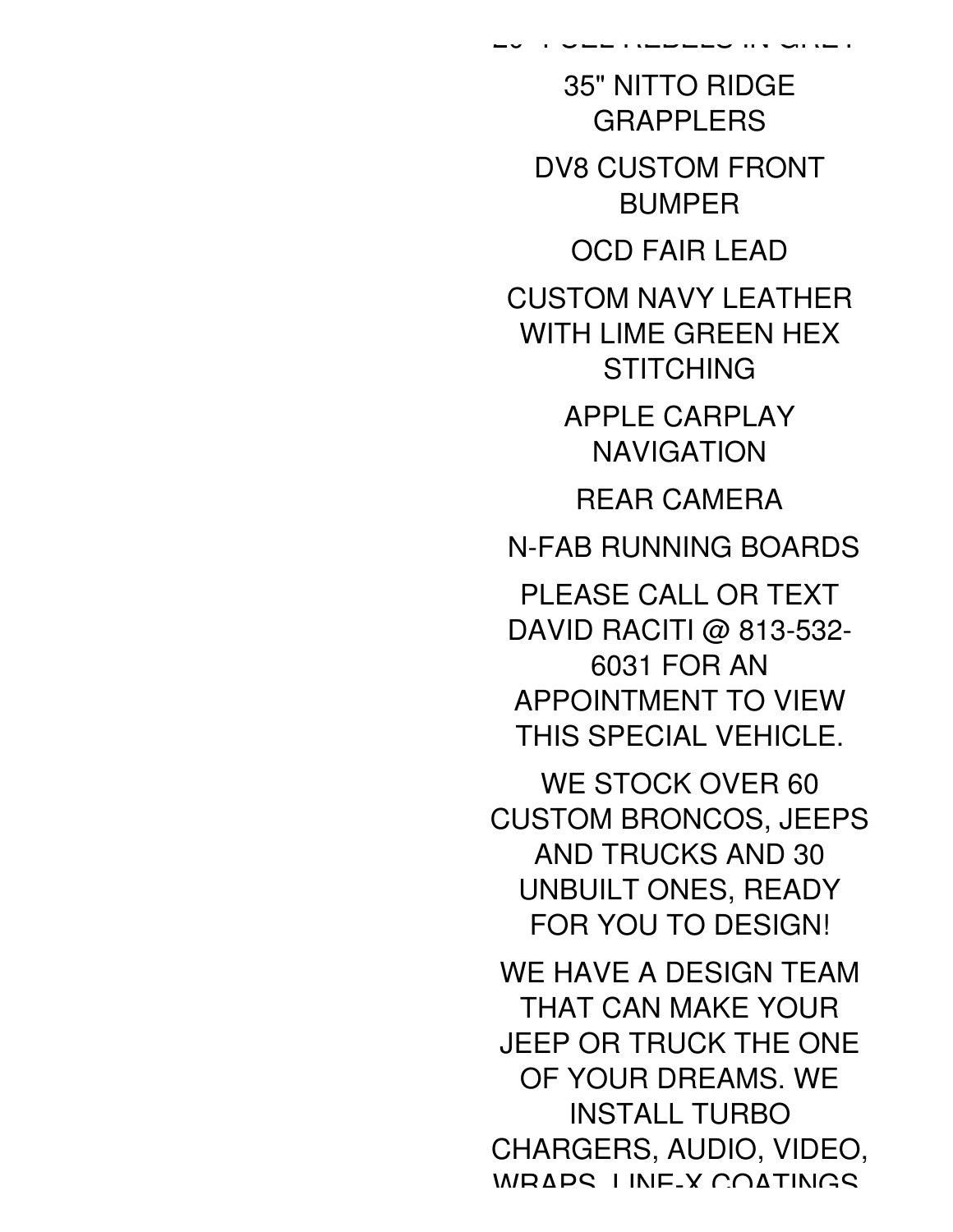35" NITTO RIDGE **GRAPPI FRS** DV8 CUSTOM FRONT BUMPER OCD FAIR LEAD CUSTOM NAVY LEATHER WITH LIME GREEN HEX **STITCHING** APPLE CARPLAY NAVIGATION REAR CAMERA N-FAB RUNNING BOARDS PLEASE CALL OR TEXT DAVID RACITI @ 813-532-6031 FOR AN APPOINTMENT TO VIEW THIS SPECIAL VEHICLE. WE STOCK OVER 60 CUSTOM BRONCOS, JEEPS AND TRUCKS AND 30 UNBUILT ONES, READY FOR YOU TO DESIGN! WE HAVE A DESIGN TEAM THAT CAN MAKE YOUR JEEP OR TRUCK THE ONE OF YOUR DREAMS. WE INSTALL TURBO CHARGERS, AUDIO, VIDEO, WRAPS, LINE-X COATINGS,

20" FUEL REBELS IN GREY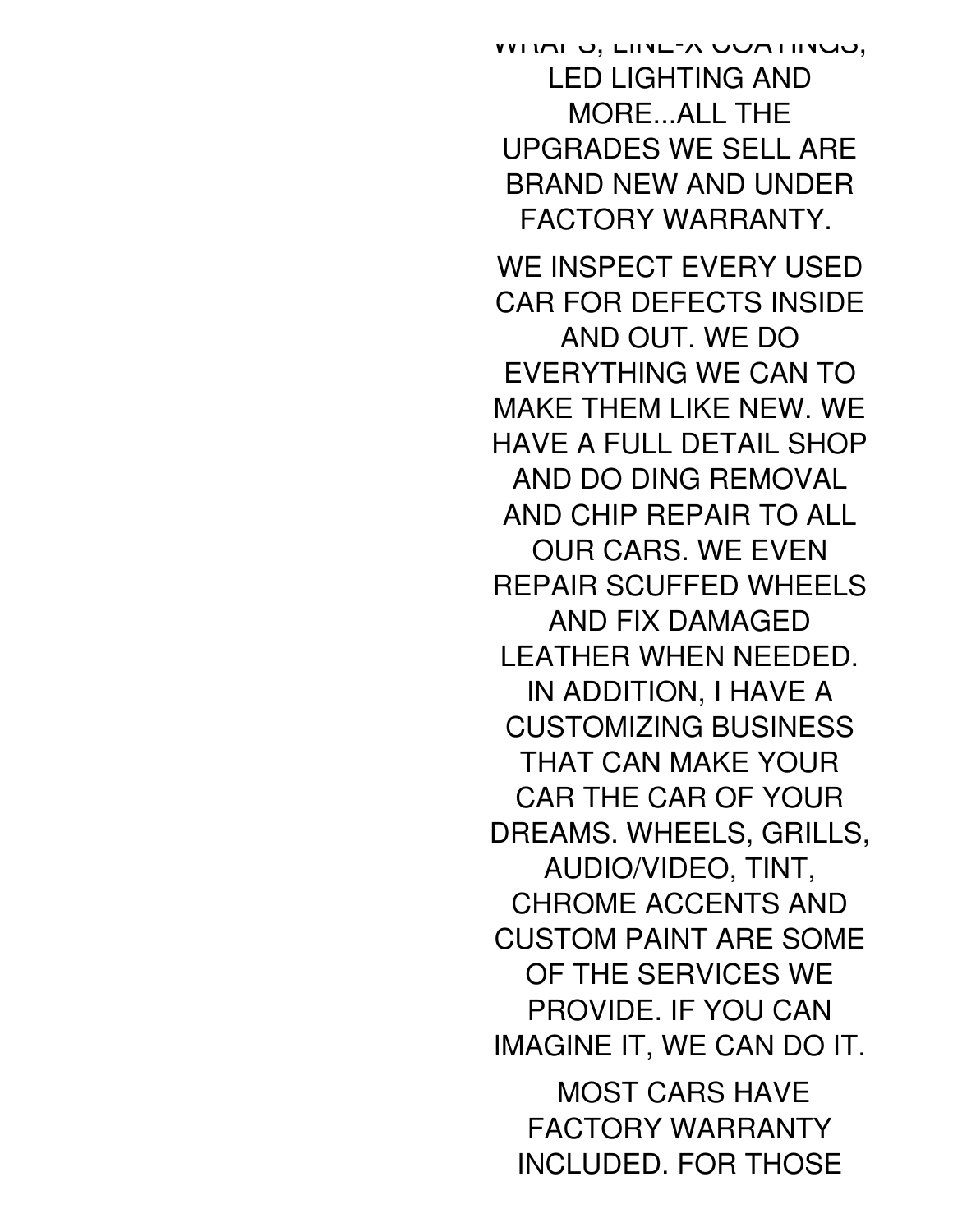WITH U, LINE-A UUATINGU, LED LIGHTING AND MORE...ALL THE UPGRADES WE SELL ARE BRAND NEW AND UNDER FACTORY WARRANTY.

WE INSPECT EVERY USED CAR FOR DEFECTS INSIDE AND OUT. WE DO EVERYTHING WE CAN TO MAKE THEM LIKE NEW. WE HAVE A FULL DETAIL SHOP AND DO DING REMOVAL AND CHIP REPAIR TO ALL OUR CARS. WE EVEN REPAIR SCUFFED WHEELS AND FIX DAMAGED LEATHER WHEN NEEDED. IN ADDITION, I HAVE A CUSTOMIZING BUSINESS THAT CAN MAKE YOUR CAR THE CAR OF YOUR DREAMS. WHEELS, GRILLS, AUDIO/VIDEO, TINT, CHROME ACCENTS AND CUSTOM PAINT ARE SOME OF THE SERVICES WE PROVIDE. IF YOU CAN IMAGINE IT, WE CAN DO IT.

MOST CARS HAVE FACTORY WARRANTY INCLUDED. FOR THOSE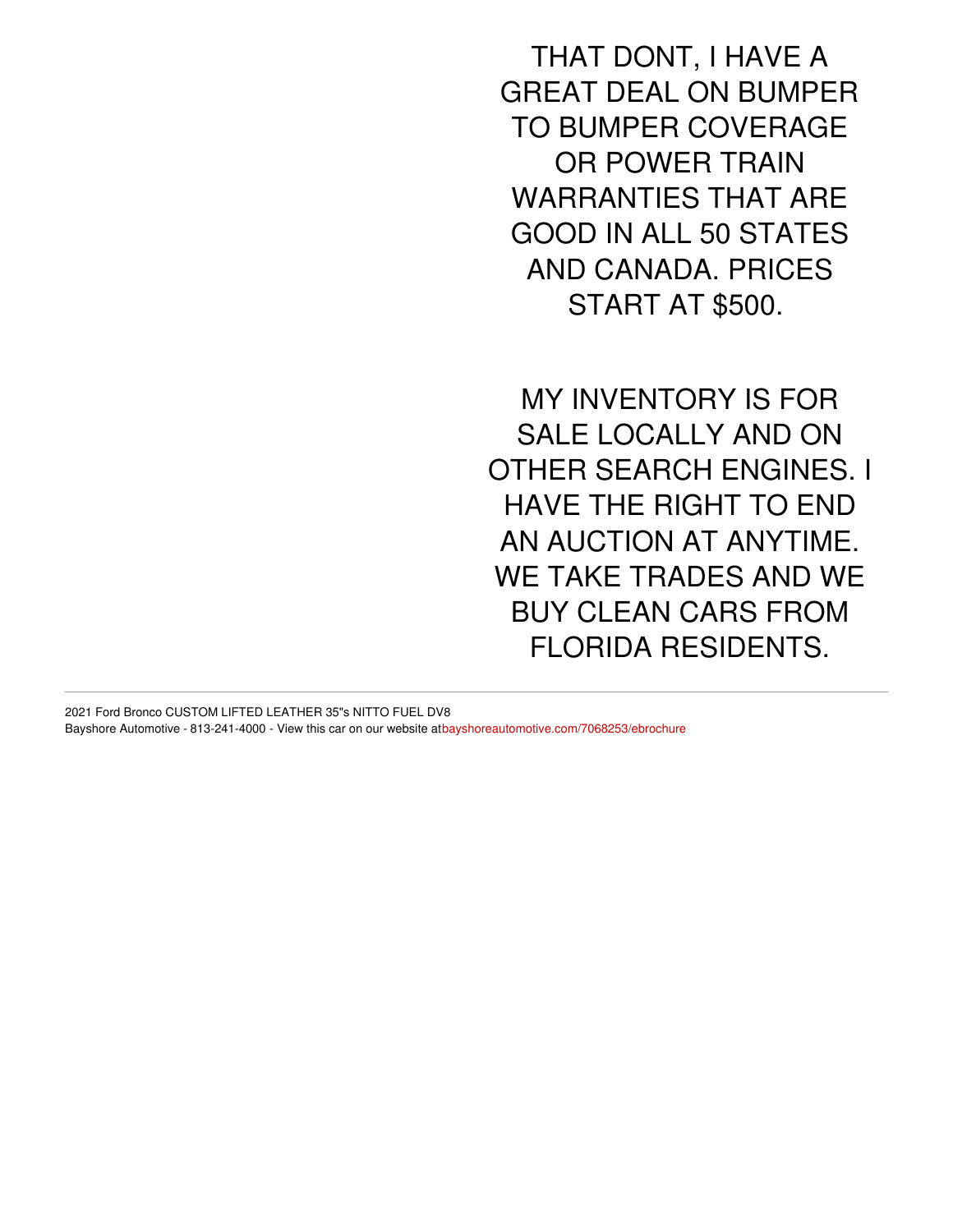THAT DONT, I HAVE A GREAT DEAL ON BUMPER TO BUMPER COVERAGE OR POWER TRAIN WARRANTIES THAT ARE GOOD IN ALL 50 STATES AND CANADA. PRICES START AT \$500.

MY INVENTORY IS FOR SALE LOCALLY AND ON OTHER SEARCH ENGINES. I HAVE THE RIGHT TO END AN AUCTION AT ANYTIME. WE TAKE TRADES AND WE BUY CLEAN CARS FROM FLORIDA RESIDENTS.

2021 Ford Bronco CUSTOM LIFTED LEATHER 35"s NITTO FUEL DV8 Bayshore Automotive - 813-241-4000 - View this car on our website a[tbayshoreautomotive.com/7068253/ebrochure](https://bayshoreautomotive.com/vehicle/7068253/2021-ford-bronco-custom-lifted-leather-35-s-nitto-fuel-dv8-plant-city-florida-33563/7068253/ebrochure)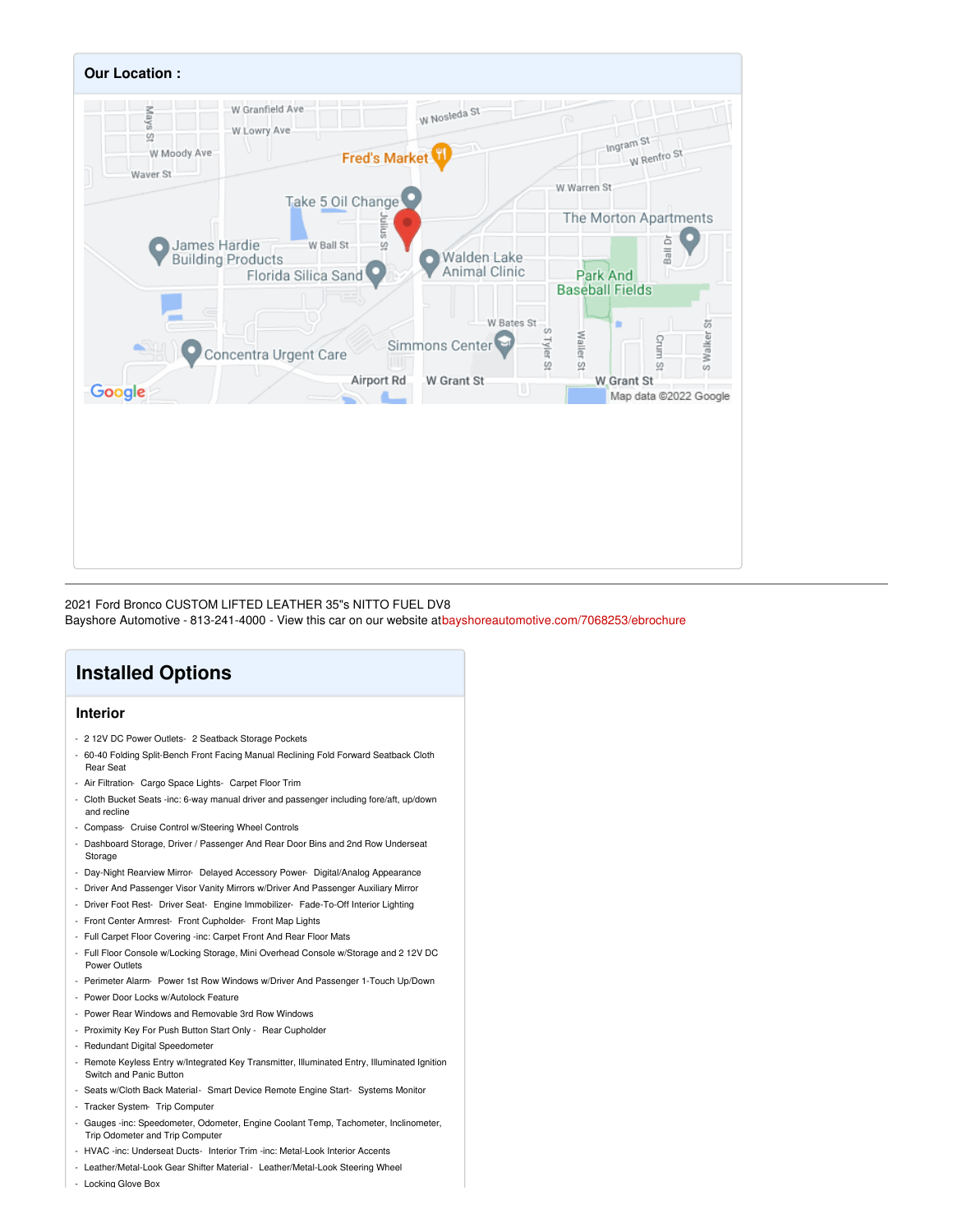

2021 Ford Bronco CUSTOM LIFTED LEATHER 35"s NITTO FUEL DV8 Bayshore Automotive - 813-241-4000 - View this car on our website a[tbayshoreautomotive.com/7068253/ebrochure](https://bayshoreautomotive.com/vehicle/7068253/2021-ford-bronco-custom-lifted-leather-35-s-nitto-fuel-dv8-plant-city-florida-33563/7068253/ebrochure)

## **Installed Options**

### **Interior**

- 2 12V DC Power Outlets- 2 Seatback Storage Pockets
- 60-40 Folding Split-Bench Front Facing Manual Reclining Fold Forward Seatback Cloth Rear Seat
- Air Filtration- Cargo Space Lights- Carpet Floor Trim
- Cloth Bucket Seats -inc: 6-way manual driver and passenger including fore/aft, up/down and recline
- Compass- Cruise Control w/Steering Wheel Controls
- Dashboard Storage, Driver / Passenger And Rear Door Bins and 2nd Row Underseat Storage
- Day-Night Rearview Mirror- Delayed Accessory Power- Digital/Analog Appearance
- Driver And Passenger Visor Vanity Mirrors w/Driver And Passenger Auxiliary Mirror
- Driver Foot Rest- Driver Seat- Engine Immobilizer- Fade-To-Off Interior Lighting
- Front Center Armrest- Front Cupholder- Front Map Lights
- Full Carpet Floor Covering -inc: Carpet Front And Rear Floor Mats
- Full Floor Console w/Locking Storage, Mini Overhead Console w/Storage and 2 12V DC Power Outlets
- Perimeter Alarm- Power 1st Row Windows w/Driver And Passenger 1-Touch Up/Down
- Power Door Locks w/Autolock Feature
- Power Rear Windows and Removable 3rd Row Windows
- Proximity Key For Push Button Start Only Rear Cupholder
- Redundant Digital Speedometer
- Remote Keyless Entry w/Integrated Key Transmitter, Illuminated Entry, Illuminated Ignition Switch and Panic Button
- Seats w/Cloth Back Material- Smart Device Remote Engine Start- Systems Monitor
- Tracker System- Trip Computer
- Gauges -inc: Speedometer, Odometer, Engine Coolant Temp, Tachometer, Inclinometer, Trip Odometer and Trip Computer
- HVAC -inc: Underseat Ducts- Interior Trim -inc: Metal-Look Interior Accents
- Leather/Metal-Look Gear Shifter Material Leather/Metal-Look Steering Wheel
- Locking Glove Box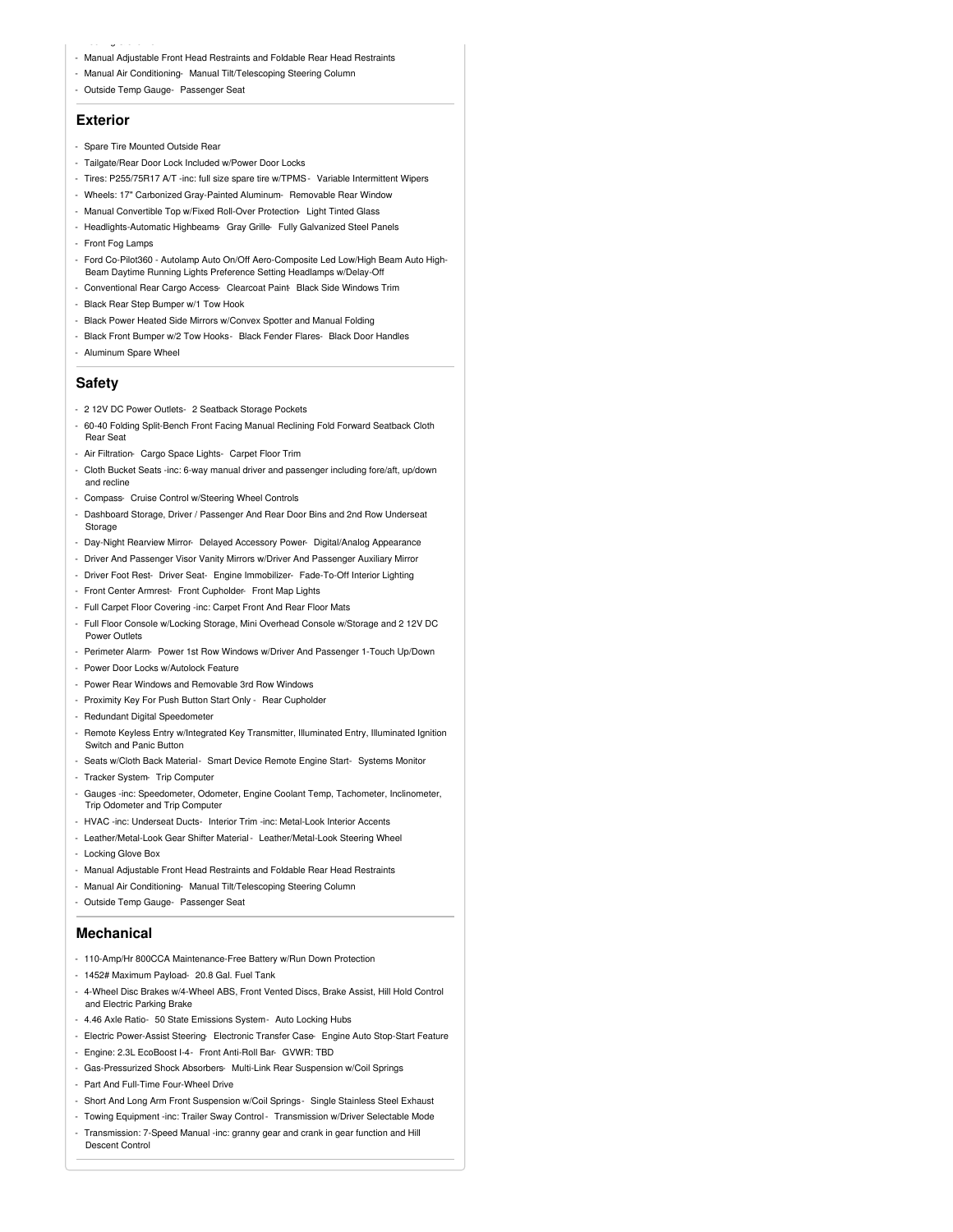- Manual Adjustable Front Head Restraints and Foldable Rear Head Restraints
- Manual Air Conditioning- Manual Tilt/Telescoping Steering Column
- Outside Temp Gauge- Passenger Seat

### **Exterior**

 $-$  Locking Giros Box

- Spare Tire Mounted Outside Rear
- Tailgate/Rear Door Lock Included w/Power Door Locks
- Tires: P255/75R17 A/T -inc: full size spare tire w/TPMS- Variable Intermittent Wipers
- Wheels: 17" Carbonized Gray-Painted Aluminum- Removable Rear Window
- Manual Convertible Top w/Fixed Roll-Over Protection- Light Tinted Glass
- Headlights-Automatic Highbeams- Gray Grille- Fully Galvanized Steel Panels
- Front Fog Lamps
- Ford Co-Pilot360 Autolamp Auto On/Off Aero-Composite Led Low/High Beam Auto High-Beam Daytime Running Lights Preference Setting Headlamps w/Delay-Off
- Conventional Rear Cargo Access- Clearcoat Paint Black Side Windows Trim
- Black Rear Step Bumper w/1 Tow Hook
- Black Power Heated Side Mirrors w/Convex Spotter and Manual Folding
- Black Front Bumper w/2 Tow Hooks- Black Fender Flares- Black Door Handles
- Aluminum Spare Wheel

#### **Safety**

- 2 12V DC Power Outlets- 2 Seatback Storage Pockets
- 60-40 Folding Split-Bench Front Facing Manual Reclining Fold Forward Seatback Cloth Rear Seat
- Air Filtration- Cargo Space Lights- Carpet Floor Trim
- Cloth Bucket Seats -inc: 6-way manual driver and passenger including fore/aft, up/down and recline
- Compass- Cruise Control w/Steering Wheel Controls
- Dashboard Storage, Driver / Passenger And Rear Door Bins and 2nd Row Underseat Storage
- Day-Night Rearview Mirror- Delayed Accessory Power- Digital/Analog Appearance
- Driver And Passenger Visor Vanity Mirrors w/Driver And Passenger Auxiliary Mirror
- Driver Foot Rest- Driver Seat- Engine Immobilizer- Fade-To-Off Interior Lighting
- Front Center Armrest- Front Cupholder- Front Map Lights
- Full Carpet Floor Covering -inc: Carpet Front And Rear Floor Mats
- Full Floor Console w/Locking Storage, Mini Overhead Console w/Storage and 2 12V DC Power Outlets
- Perimeter Alarm- Power 1st Row Windows w/Driver And Passenger 1-Touch Up/Down
- Power Door Locks w/Autolock Feature
- Power Rear Windows and Removable 3rd Row Windows
- Proximity Key For Push Button Start Only Rear Cupholder
- Redundant Digital Speedometer
- Remote Keyless Entry w/Integrated Key Transmitter, Illuminated Entry, Illuminated Ignition Switch and Panic Button
- Seats w/Cloth Back Material- Smart Device Remote Engine Start- Systems Monitor
- Tracker System- Trip Computer
- Gauges -inc: Speedometer, Odometer, Engine Coolant Temp, Tachometer, Inclinometer, Trip Odometer and Trip Computer
- HVAC -inc: Underseat Ducts- Interior Trim -inc: Metal-Look Interior Accents
- Leather/Metal-Look Gear Shifter Material- Leather/Metal-Look Steering Wheel
- Locking Glove Box
- Manual Adjustable Front Head Restraints and Foldable Rear Head Restraints
- Manual Air Conditioning- Manual Tilt/Telescoping Steering Column
- Outside Temp Gauge- Passenger Seat

#### **Mechanical**

- 110-Amp/Hr 800CCA Maintenance-Free Battery w/Run Down Protection
- 1452# Maximum Payload- 20.8 Gal. Fuel Tank
- 4-Wheel Disc Brakes w/4-Wheel ABS, Front Vented Discs, Brake Assist, Hill Hold Control and Electric Parking Brake
- 4.46 Axle Ratio- 50 State Emissions System- Auto Locking Hubs
- Electric Power-Assist Steering- Electronic Transfer Case- Engine Auto Stop-Start Feature
- Engine: 2.3L EcoBoost I-4- Front Anti-Roll Bar- GVWR: TBD
- Gas-Pressurized Shock Absorbers- Multi-Link Rear Suspension w/Coil Springs
- Part And Full-Time Four-Wheel Drive
- Short And Long Arm Front Suspension w/Coil Springs- Single Stainless Steel Exhaust
- Towing Equipment -inc: Trailer Sway Control- Transmission w/Driver Selectable Mode
- Transmission: 7-Speed Manual -inc: granny gear and crank in gear function and Hill Descent Control